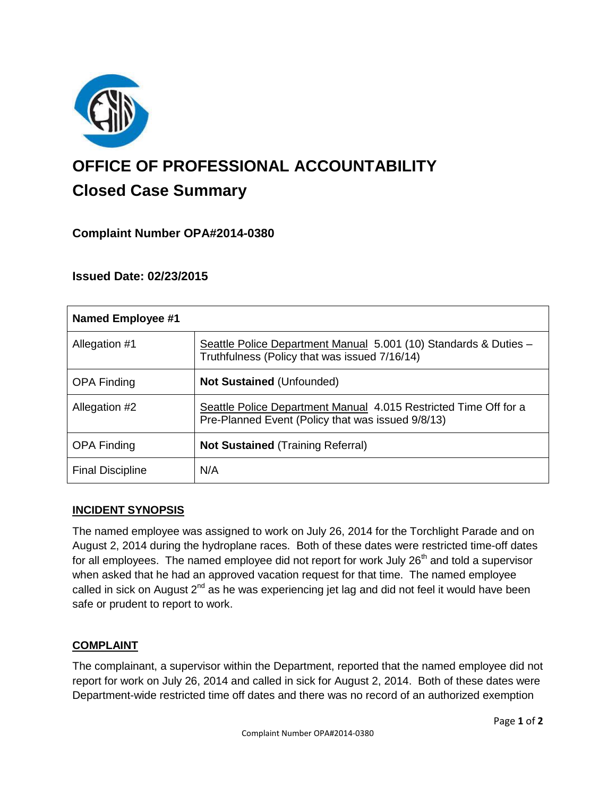

# **OFFICE OF PROFESSIONAL ACCOUNTABILITY Closed Case Summary**

# **Complaint Number OPA#2014-0380**

## **Issued Date: 02/23/2015**

| Named Employee #1       |                                                                                                                       |
|-------------------------|-----------------------------------------------------------------------------------------------------------------------|
| Allegation #1           | Seattle Police Department Manual 5.001 (10) Standards & Duties -<br>Truthfulness (Policy that was issued 7/16/14)     |
| <b>OPA Finding</b>      | <b>Not Sustained (Unfounded)</b>                                                                                      |
| Allegation #2           | Seattle Police Department Manual 4.015 Restricted Time Off for a<br>Pre-Planned Event (Policy that was issued 9/8/13) |
| <b>OPA Finding</b>      | <b>Not Sustained (Training Referral)</b>                                                                              |
| <b>Final Discipline</b> | N/A                                                                                                                   |

#### **INCIDENT SYNOPSIS**

The named employee was assigned to work on July 26, 2014 for the Torchlight Parade and on August 2, 2014 during the hydroplane races. Both of these dates were restricted time-off dates for all employees. The named employee did not report for work July 26<sup>th</sup> and told a supervisor when asked that he had an approved vacation request for that time. The named employee called in sick on August 2<sup>nd</sup> as he was experiencing jet lag and did not feel it would have been safe or prudent to report to work.

#### **COMPLAINT**

The complainant, a supervisor within the Department, reported that the named employee did not report for work on July 26, 2014 and called in sick for August 2, 2014. Both of these dates were Department-wide restricted time off dates and there was no record of an authorized exemption